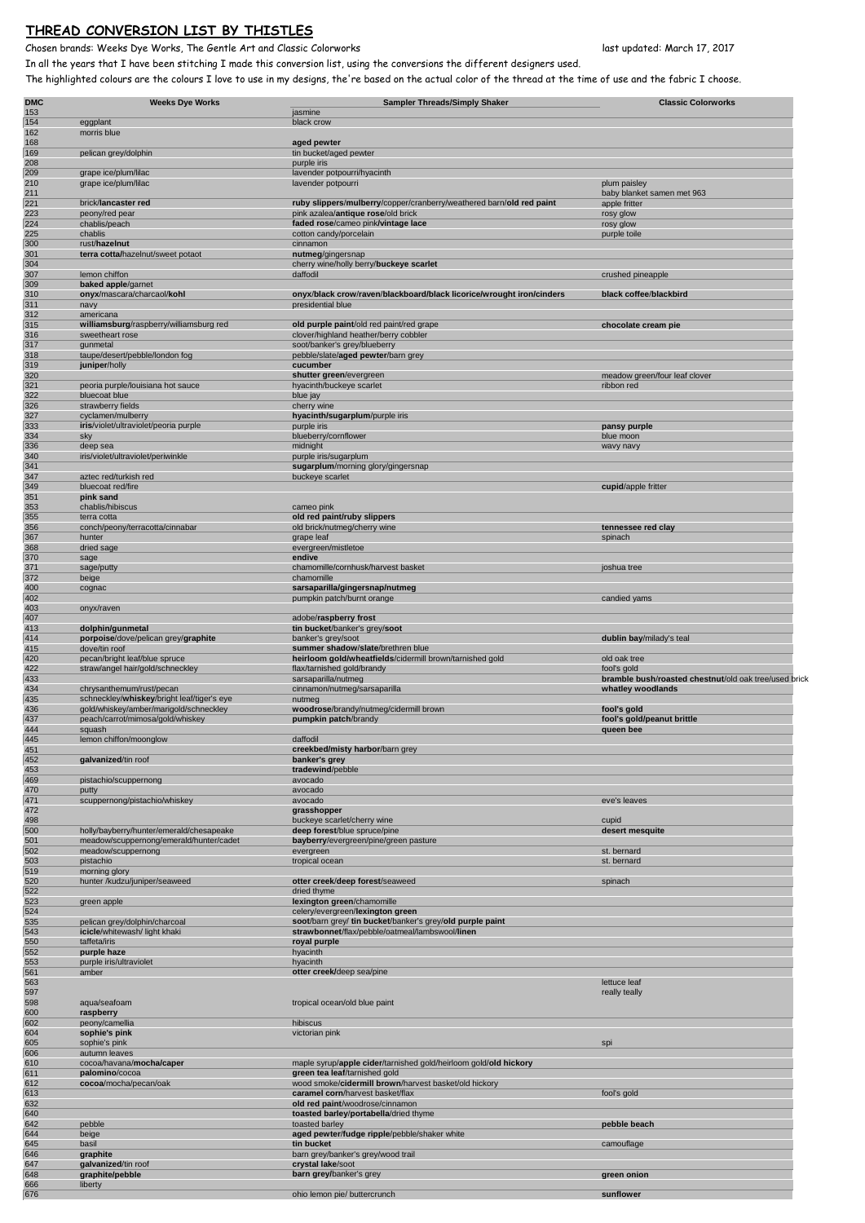## **THREAD CONVERSION LIST BY THISTLES**

Chosen brands: Weeks Dye Works, The Gentle Art and Classic Colorworks last updated: March 17, 2017

In all the years that I have been stitching I made this conversion list, using the conversions the different designers used. The highlighted colours are the colours I love to use in my designs, the're based on the actual color of the thread at the time of use and the fabric I choose.

| <b>DMC</b> | <b>Weeks Dye Works</b>                                                               | <b>Sampler Threads/Simply Shaker</b>                                                                       | <b>Classic Colorworks</b>                             |
|------------|--------------------------------------------------------------------------------------|------------------------------------------------------------------------------------------------------------|-------------------------------------------------------|
| 153<br>154 | eggplant                                                                             | jasmine<br>black crow                                                                                      |                                                       |
| 162        | morris blue                                                                          |                                                                                                            |                                                       |
| 168<br>169 | pelican grey/dolphin                                                                 | aged pewter<br>tin bucket/aged pewter                                                                      |                                                       |
| 208        |                                                                                      | purple iris                                                                                                |                                                       |
| 209<br>210 | grape ice/plum/lilac<br>grape ice/plum/lilac                                         | lavender potpourri/hyacinth<br>lavender potpourri                                                          | plum paisley                                          |
| 211        |                                                                                      |                                                                                                            | baby blanket samen met 963                            |
| 221<br>223 | brick/lancaster red<br>peony/red pear                                                | ruby slippers/mulberry/copper/cranberry/weathered barn/old red paint<br>pink azalea/antique rose/old brick | apple fritter<br>rosy glow                            |
| 224        | chablis/peach                                                                        | faded rose/cameo pink/vintage lace                                                                         | rosy glow                                             |
| 225        | chablis                                                                              | cotton candy/porcelain                                                                                     | purple toile                                          |
| 300<br>301 | rust/hazelnut<br>terra cotta/hazelnut/sweet potaot                                   | cinnamon<br>nutmeg/gingersnap                                                                              |                                                       |
| 304        |                                                                                      | cherry wine/holly berry/buckeye scarlet                                                                    |                                                       |
| 307<br>309 | lemon chiffon<br>baked apple/garnet                                                  | daffodil                                                                                                   | crushed pineapple                                     |
| 310        | onyx/mascara/charcaol/kohl                                                           | onyx/black crow/raven/blackboard/black licorice/wrought iron/cinders                                       | black coffee/blackbird                                |
| 311<br>312 | navy<br>americana                                                                    | presidential blue                                                                                          |                                                       |
| 315        | williamsburg/raspberry/williamsburg red                                              | old purple paint/old red paint/red grape                                                                   | chocolate cream pie                                   |
| 316        | sweetheart rose                                                                      | clover/highland heather/berry cobbler                                                                      |                                                       |
| 317<br>318 | gunmetal<br>taupe/desert/pebble/london fog                                           | soot/banker's grey/blueberry<br>pebble/slate/aged pewter/barn grey                                         |                                                       |
| 319        | juniper/holly                                                                        | cucumber                                                                                                   |                                                       |
| 320<br>321 | peoria purple/louisiana hot sauce                                                    | shutter green/evergreen<br>hyacinth/buckeye scarlet                                                        | meadow green/four leaf clover<br>ribbon red           |
| 322        | bluecoat blue                                                                        | blue jay                                                                                                   |                                                       |
| 326        | strawberry fields                                                                    | cherry wine                                                                                                |                                                       |
| 327<br>333 | cyclamen/mulberry<br>iris/violet/ultraviolet/peoria purple                           | hyacinth/sugarplum/purple iris<br>purple iris                                                              | pansy purple                                          |
| 334        | sky                                                                                  | blueberry/cornflower                                                                                       | blue moon                                             |
| 336<br>340 | deep sea<br>iris/violet/ultraviolet/periwinkle                                       | midnight<br>purple iris/sugarplum                                                                          | wavy navy                                             |
| 341        |                                                                                      | sugarplum/morning glory/gingersnap                                                                         |                                                       |
| 347        | aztec red/turkish red                                                                | buckeye scarlet                                                                                            |                                                       |
| 349<br>351 | bluecoat red/fire<br>pink sand                                                       |                                                                                                            | cupid/apple fritter                                   |
| 353        | chablis/hibiscus                                                                     | cameo pink                                                                                                 |                                                       |
| 355        | terra cotta                                                                          | old red paint/ruby slippers                                                                                |                                                       |
| 356<br>367 | conch/peony/terracotta/cinnabar<br>hunter                                            | old brick/nutmeg/cherry wine<br>grape leaf                                                                 | tennessee red clay<br>spinach                         |
| 368        | dried sage                                                                           | evergreen/mistletoe                                                                                        |                                                       |
| 370<br>371 | sage<br>sage/putty                                                                   | endive<br>chamomille/cornhusk/harvest basket                                                               | joshua tree                                           |
| 372        | beige                                                                                | chamomille                                                                                                 |                                                       |
| 400<br>402 | cognac                                                                               | sarsaparilla/gingersnap/nutmeg<br>pumpkin patch/burnt orange                                               | candied yams                                          |
| 403        | onyx/raven                                                                           |                                                                                                            |                                                       |
| 407        |                                                                                      | adobe/raspberry frost                                                                                      |                                                       |
| 413<br>414 | dolphin/gunmetal<br>porpoise/dove/pelican grey/graphite                              | tin bucket/banker's grey/soot<br>banker's grey/soot                                                        | dublin bay/milady's teal                              |
| 415        | dove/tin roof                                                                        | summer shadow/slate/brethren blue                                                                          |                                                       |
| 420<br>422 | pecan/bright leaf/blue spruce                                                        | heirloom gold/wheatfields/cidermill brown/tarnished gold<br>flax/tarnished gold/brandy                     | old oak tree<br>fool's gold                           |
| 433        | straw/angel hair/gold/schneckley                                                     | sarsaparilla/nutmeg                                                                                        | bramble bush/roasted chestnut/old oak tree/used brick |
| 434        | chrysanthemum/rust/pecan                                                             | cinnamon/nutmeg/sarsaparilla                                                                               | whatley woodlands                                     |
| 435<br>436 | schneckley/whiskey/bright leaf/tiger's eye<br>gold/whiskey/amber/marigold/schneckley | nutmea<br>woodrose/brandy/nutmeg/cidermill brown                                                           | fool's gold                                           |
| 437        | peach/carrot/mimosa/gold/whiskey                                                     | pumpkin patch/brandy                                                                                       | fool's gold/peanut brittle                            |
| 444<br>445 | squash<br>lemon chiffon/moonglow                                                     | daffodil                                                                                                   | queen bee                                             |
| 451        |                                                                                      | creekbed/misty harbor/barn grey                                                                            |                                                       |
| 452        | galvanized/tin roof                                                                  | banker's grey                                                                                              |                                                       |
| 453<br>469 | pistachio/scuppernong                                                                | tradewind/pebble<br>avocado                                                                                |                                                       |
| 470        | putty                                                                                | avocado                                                                                                    |                                                       |
| 471        | scuppernong/pistachio/whiskey                                                        | avocado                                                                                                    | eve's leaves                                          |
| 472<br>498 |                                                                                      | grasshopper<br>buckeye scarlet/cherry wine                                                                 | cupid                                                 |
| 500        | holly/bayberry/hunter/emerald/chesapeake                                             | deep forest/blue spruce/pine                                                                               | desert mesquite                                       |
| 501<br>502 | meadow/scuppernong/emerald/hunter/cadet<br>meadow/scuppernong                        | bayberry/evergreen/pine/green pasture<br>evergreen                                                         | st. bernard                                           |
| 503        | pistachio                                                                            | tropical ocean                                                                                             | st. bernard                                           |
| 519        | morning glory                                                                        |                                                                                                            |                                                       |
| 520<br>522 | hunter /kudzu/juniper/seaweed                                                        | otter creek/deep forest/seaweed<br>dried thyme                                                             | spinach                                               |
| 523        | green apple                                                                          | lexington green/chamomille                                                                                 |                                                       |
| 524<br>535 | pelican grey/dolphin/charcoal                                                        | celery/evergreen/lexington green<br>soot/barn grey/ tin bucket/banker's grey/old purple paint              |                                                       |
| 543        | icicle/whitewash/ light khaki                                                        | strawbonnet/flax/pebble/oatmeal/lambswool/linen                                                            |                                                       |
| 550        | taffeta/iris                                                                         | royal purple                                                                                               |                                                       |
| 552<br>553 | purple haze<br>purple iris/ultraviolet                                               | hyacinth<br>hyacinth                                                                                       |                                                       |
| 561        | amber                                                                                | otter creek/deep sea/pine                                                                                  |                                                       |
| 563<br>597 |                                                                                      |                                                                                                            | lettuce leaf<br>really teally                         |
| 598        | aqua/seafoam                                                                         | tropical ocean/old blue paint                                                                              |                                                       |
| 600        | raspberry                                                                            |                                                                                                            |                                                       |
| 602<br>604 | peony/camellia<br>sophie's pink                                                      | hibiscus<br>victorian pink                                                                                 |                                                       |
| 605        | sophie's pink                                                                        |                                                                                                            | spi                                                   |
| 606<br>610 | autumn leaves<br>cocoa/havana/mocha/caper                                            | maple syrup/apple cider/tarnished gold/heirloom gold/old hickory                                           |                                                       |
| 611        | palomino/cocoa                                                                       | green tea leaf/tarnished gold                                                                              |                                                       |
| 612        | cocoa/mocha/pecan/oak                                                                | wood smoke/cidermill brown/harvest basket/old hickory                                                      |                                                       |
| 613<br>632 |                                                                                      | caramel corn/harvest basket/flax<br>old red paint/woodrose/cinnamon                                        | fool's gold                                           |
| 640        |                                                                                      | toasted barley/portabella/dried thyme                                                                      |                                                       |
| 642<br>644 | pebble<br>beige                                                                      | toasted barley<br>aged pewter/fudge ripple/pebble/shaker white                                             | pebble beach                                          |
| 645        | basil                                                                                | tin bucket                                                                                                 | camouflage                                            |
| 646        | graphite                                                                             | barn grey/banker's grey/wood trail                                                                         |                                                       |
| 647<br>648 | galvanized/tin roof<br>graphite/pebble                                               | crystal lake/soot<br>barn grey/banker's grey                                                               | green onion                                           |
| 666        | liberty                                                                              |                                                                                                            |                                                       |
| 676        |                                                                                      | ohio lemon pie/ buttercrunch                                                                               | sunflower                                             |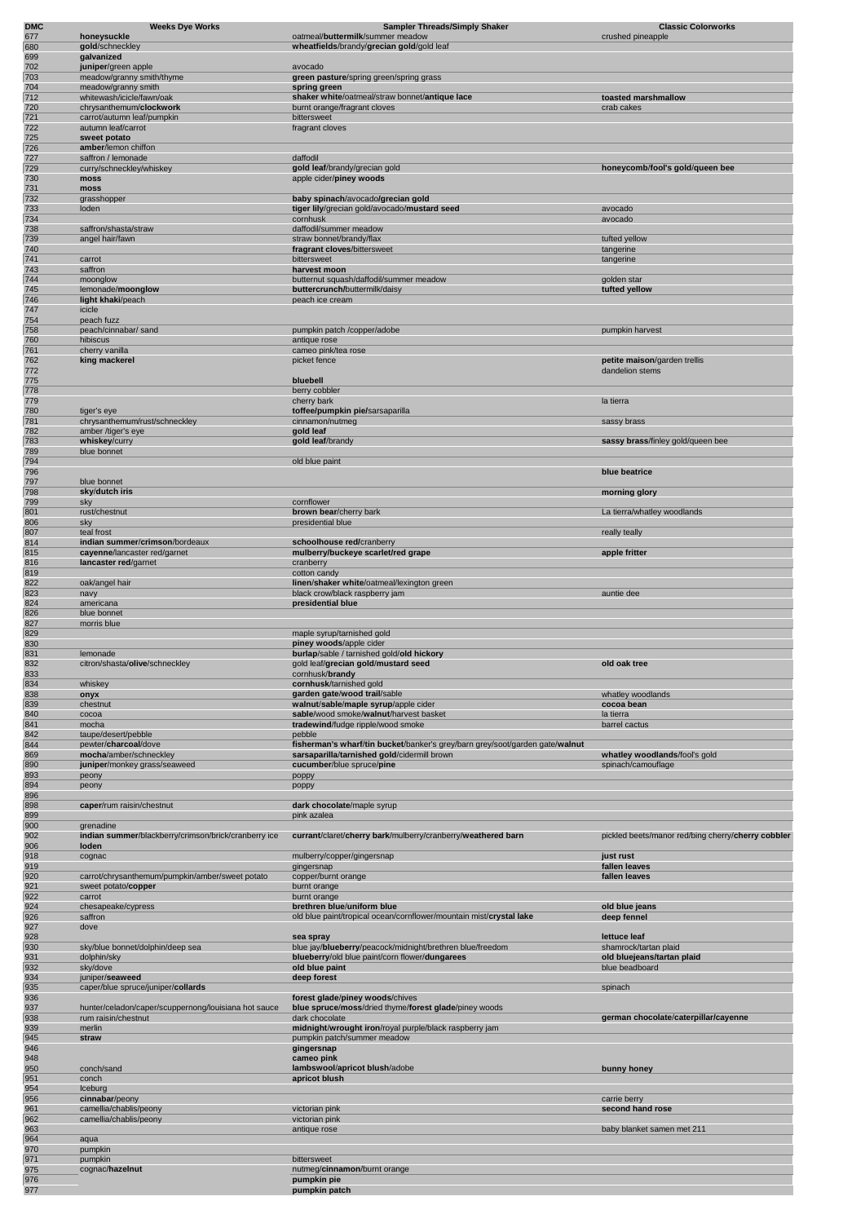| <b>DMC</b><br>677 | <b>Weeks Dye Works</b><br>honeysuckle                                       | <b>Sampler Threads/Simply Shaker</b><br>oatmeal/buttermilk/summer meadow                          | <b>Classic Colorworks</b><br>crushed pineapple     |
|-------------------|-----------------------------------------------------------------------------|---------------------------------------------------------------------------------------------------|----------------------------------------------------|
| 680               | gold/schneckley                                                             | wheatfields/brandy/grecian gold/gold leaf                                                         |                                                    |
| 699               | galvanized                                                                  |                                                                                                   |                                                    |
| 702<br>703        | juniper/green apple                                                         | avocado<br>green pasture/spring green/spring grass                                                |                                                    |
| 704               | meadow/granny smith/thyme<br>meadow/granny smith                            | spring green                                                                                      |                                                    |
| 712               | whitewash/icicle/fawn/oak                                                   | shaker white/oatmeal/straw bonnet/antique lace                                                    | toasted marshmallow                                |
| 720<br>721        | chrysanthemum/clockwork                                                     | burnt orange/fragrant cloves<br>bittersweet                                                       | crab cakes                                         |
| 722               | carrot/autumn leaf/pumpkin<br>autumn leaf/carrot                            | fragrant cloves                                                                                   |                                                    |
| 725               | sweet potato                                                                |                                                                                                   |                                                    |
| 726<br>727        | amber/lemon chiffon<br>saffron / lemonade                                   | daffodil                                                                                          |                                                    |
| 729               | curry/schneckley/whiskey                                                    | gold leaf/brandy/grecian gold                                                                     | honeycomb/fool's gold/queen bee                    |
| 730               | moss                                                                        | apple cider/piney woods                                                                           |                                                    |
| 731<br>732        | moss<br>grasshopper                                                         | baby spinach/avocado/grecian gold                                                                 |                                                    |
| 733               | loden                                                                       | tiger lily/grecian gold/avocado/mustard seed                                                      | avocado                                            |
| 734               |                                                                             | cornhusk                                                                                          | avocado                                            |
| 738<br>739        | saffron/shasta/straw<br>angel hair/fawn                                     | daffodil/summer meadow<br>straw bonnet/brandy/flax                                                | tufted yellow                                      |
| 740               |                                                                             | fragrant cloves/bittersweet                                                                       | tangerine                                          |
| 741<br>743        | carrot<br>saffron                                                           | bittersweet                                                                                       | tangerine                                          |
| 744               | moonglow                                                                    | harvest moon<br>butternut squash/daffodil/summer meadow                                           | golden star                                        |
| 745               | lemonade/moonglow                                                           | buttercrunch/buttermilk/daisy                                                                     | tufted yellow                                      |
| 746<br>747        | light khaki/peach<br>icicle                                                 | peach ice cream                                                                                   |                                                    |
| 754               | peach fuzz                                                                  |                                                                                                   |                                                    |
| 758               | peach/cinnabar/ sand                                                        | pumpkin patch /copper/adobe                                                                       | pumpkin harvest                                    |
| 760<br>761        | hibiscus<br>cherry vanilla                                                  | antique rose<br>cameo pink/tea rose                                                               |                                                    |
| 762               | king mackerel                                                               | picket fence                                                                                      | petite maison/garden trellis                       |
| 772               |                                                                             |                                                                                                   | dandelion stems                                    |
| 775<br>778        |                                                                             | bluebell<br>berry cobbler                                                                         |                                                    |
| 779               |                                                                             | cherry bark                                                                                       | la tierra                                          |
| 780<br>781        | tiger's eye<br>chrysanthemum/rust/schneckley                                | toffee/pumpkin pie/sarsaparilla<br>cinnamon/nutmeg                                                | sassy brass                                        |
| 782               | amber /tiger's eye                                                          | gold leaf                                                                                         |                                                    |
| 783               | whiskey/curry                                                               | gold leaf/brandy                                                                                  | sassy brass/finley gold/queen bee                  |
| 789<br>794        | blue bonnet                                                                 | old blue paint                                                                                    |                                                    |
| 796               |                                                                             |                                                                                                   | blue beatrice                                      |
| 797<br>798        | blue bonnet<br>sky/dutch iris                                               |                                                                                                   | morning glory                                      |
| 799               | sky                                                                         | cornflower                                                                                        |                                                    |
| 801               | rust/chestnut                                                               | brown bear/cherry bark                                                                            | La tierra/whatley woodlands                        |
| 806<br>807        | sky<br>teal frost                                                           | presidential blue                                                                                 | really teally                                      |
| 814               | indian summer/crimson/bordeaux                                              | schoolhouse red/cranberry                                                                         |                                                    |
| 815<br>816        | cayenne/lancaster red/garnet<br>lancaster red/garnet                        | mulberry/buckeye scarlet/red grape<br>cranberry                                                   | apple fritter                                      |
| 819               |                                                                             | cotton candy                                                                                      |                                                    |
| 822               | oak/angel hair                                                              | linen/shaker white/oatmeal/lexington green                                                        |                                                    |
| 823<br>824        | navy<br>americana                                                           | black crow/black raspberry jam<br>presidential blue                                               | auntie dee                                         |
| 826               | blue bonnet                                                                 |                                                                                                   |                                                    |
| 827<br>829        | morris blue                                                                 | maple syrup/tarnished gold                                                                        |                                                    |
| 830               |                                                                             | piney woods/apple cider                                                                           |                                                    |
| 831<br>832        | lemonade<br>citron/shasta/olive/schneckley                                  | burlap/sable / tarnished gold/old hickory                                                         | old oak tree                                       |
| 833               |                                                                             | gold leaf/grecian gold/mustard seed<br>cornhusk/brandy                                            |                                                    |
| 834               | whiskey                                                                     | cornhusk/tarnished gold                                                                           |                                                    |
| 838<br>839        | onyx<br>chestnut                                                            | garden gate/wood trail/sable<br>walnut/sable/maple syrup/apple cider                              | whatley woodlands<br>cocoa bean                    |
| 840               | cocoa                                                                       | sable/wood smoke/walnut/harvest basket                                                            | la tierra                                          |
| 841               | mocha                                                                       | tradewind/fudge ripple/wood smoke                                                                 | barrel cactus                                      |
| 842<br>844        | taupe/desert/pebble<br>pewter/charcoal/dove                                 | pebble<br>fisherman's wharf/tin bucket/banker's grey/barn grey/soot/garden gate/walnut            |                                                    |
| 869               | mocha/amber/schneckley                                                      | sarsaparilla/tarnished gold/cidermill brown                                                       | whatley woodlands/fool's gold                      |
| 890<br>893        | juniper/monkey grass/seaweed<br>peony                                       | cucumber/blue spruce/pine<br>poppy                                                                | spinach/camouflage                                 |
| 894               | peony                                                                       | poppy                                                                                             |                                                    |
| 896<br>898        | caper/rum raisin/chestnut                                                   | dark chocolate/maple syrup                                                                        |                                                    |
| 899               |                                                                             | pink azalea                                                                                       |                                                    |
| 900               | grenadine                                                                   |                                                                                                   |                                                    |
| 902<br>906        | indian summer/blackberry/crimson/brick/cranberry ice<br>loden               | currant/claret/cherry bark/mulberry/cranberry/weathered barn                                      | pickled beets/manor red/bing cherry/cherry cobbler |
| 918               | cognac                                                                      | mulberry/copper/gingersnap                                                                        | just rust                                          |
| 919               |                                                                             | gingersnap                                                                                        | fallen leaves                                      |
| 920<br>921        | carrot/chrysanthemum/pumpkin/amber/sweet potato<br>sweet potato/copper      | copper/burnt orange<br>burnt orange                                                               | fallen leaves                                      |
| 922               | carrot                                                                      | burnt orange                                                                                      |                                                    |
| 924<br>926        | chesapeake/cypress<br>saffron                                               | brethren blue/uniform blue<br>old blue paint/tropical ocean/cornflower/mountain mist/crystal lake | old blue jeans<br>deep fennel                      |
| 927               | dove                                                                        |                                                                                                   |                                                    |
| 928<br>930        | sky/blue bonnet/dolphin/deep sea                                            | sea spray<br>blue jay/blueberry/peacock/midnight/brethren blue/freedom                            | lettuce leaf<br>shamrock/tartan plaid              |
| 931               | dolphin/sky                                                                 | blueberry/old blue paint/corn flower/dungarees                                                    | old bluejeans/tartan plaid                         |
| 932               | sky/dove                                                                    | old blue paint                                                                                    | blue beadboard                                     |
| 934<br>935        | juniper/seaweed<br>caper/blue spruce/juniper/collards                       | deep forest                                                                                       | spinach                                            |
| 936               |                                                                             | forest glade/piney woods/chives                                                                   |                                                    |
| 937<br>938        | hunter/celadon/caper/scuppernong/louisiana hot sauce<br>rum raisin/chestnut | blue spruce/moss/dried thyme/forest glade/piney woods<br>dark chocolate                           | german chocolate/caterpillar/cayenne               |
| 939               | merlin                                                                      | midnight/wrought iron/royal purple/black raspberry jam                                            |                                                    |
| 945               | straw                                                                       | pumpkin patch/summer meadow                                                                       |                                                    |
| 946<br>948        |                                                                             | gingersnap<br>cameo pink                                                                          |                                                    |
| 950               | conch/sand                                                                  | lambswool/apricot blush/adobe                                                                     | bunny honey                                        |
| 951<br>954        | conch<br>Iceburg                                                            | apricot blush                                                                                     |                                                    |
| 956               | cinnabar/peony                                                              |                                                                                                   | carrie berry                                       |
| 961               | camellia/chablis/peony                                                      | victorian pink                                                                                    | second hand rose                                   |
| 962<br>963        | camellia/chablis/peony                                                      | victorian pink<br>antique rose                                                                    | baby blanket samen met 211                         |
| 964               | aqua                                                                        |                                                                                                   |                                                    |
| 970<br>971        | pumpkin<br>pumpkin                                                          | bittersweet                                                                                       |                                                    |
| 975               | cognac/hazelnut                                                             | nutmeg/cinnamon/burnt orange                                                                      |                                                    |
| 976               |                                                                             | pumpkin pie                                                                                       |                                                    |
| 977               |                                                                             | pumpkin patch                                                                                     |                                                    |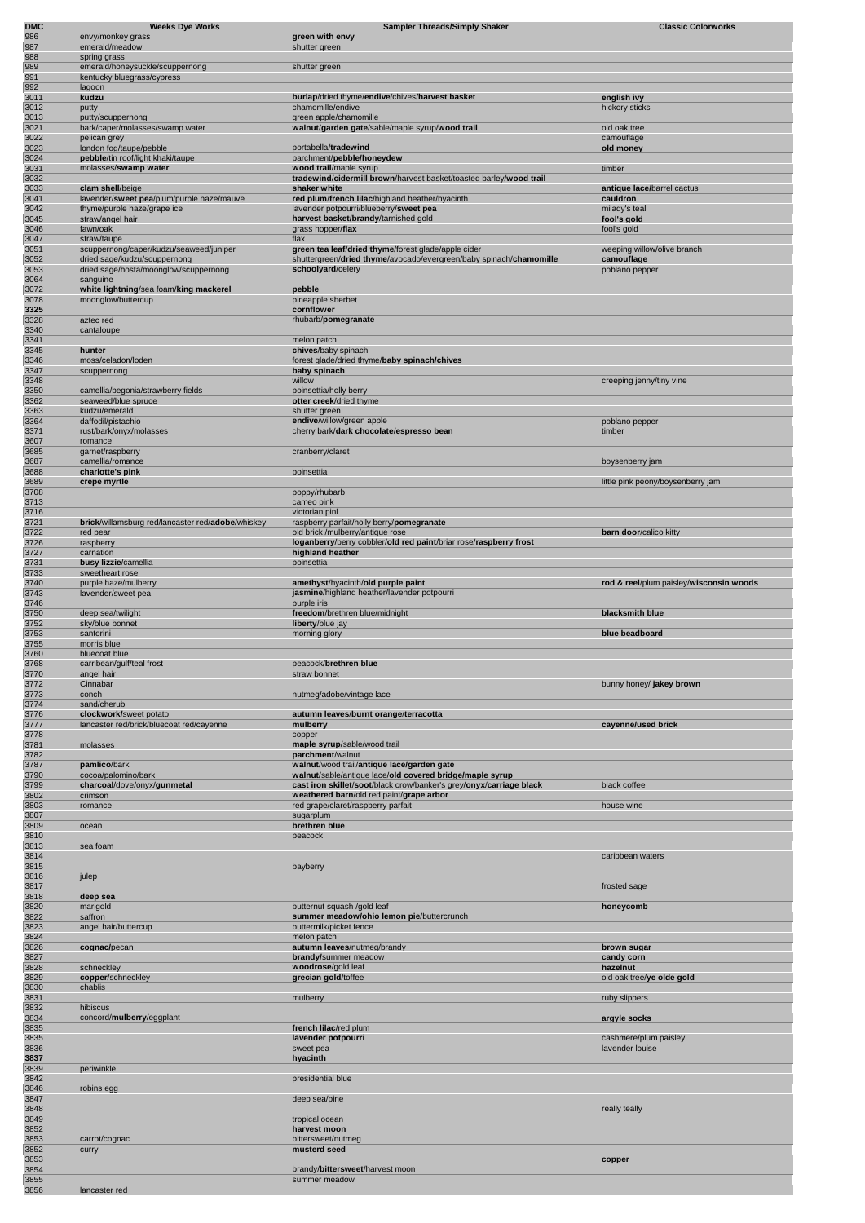| DMC<br>986   | <b>Weeks Dye Works</b><br>envy/monkey grass                              | <b>Sampler Threads/Simply Shaker</b><br>green with envy                                   | <b>Classic Colorworks</b>               |
|--------------|--------------------------------------------------------------------------|-------------------------------------------------------------------------------------------|-----------------------------------------|
| 987          | emerald/meadow                                                           | shutter green                                                                             |                                         |
| 988          | spring grass                                                             |                                                                                           |                                         |
| 989<br>991   | emerald/honeysuckle/scuppernong<br>kentucky bluegrass/cypress            | shutter green                                                                             |                                         |
| 992          | lagoon                                                                   |                                                                                           |                                         |
| 3011         | kudzu                                                                    | burlap/dried thyme/endive/chives/harvest basket                                           | english ivy                             |
| 3012<br>3013 | putty                                                                    | chamomille/endive<br>green apple/chamomille                                               | hickory sticks                          |
| 3021         | putty/scuppernong<br>bark/caper/molasses/swamp water                     | walnut/garden gate/sable/maple syrup/wood trail                                           | old oak tree                            |
| 3022         | pelican grey                                                             |                                                                                           | camouflage                              |
| 3023         | london fog/taupe/pebble<br>pebble/tin roof/light khaki/taupe             | portabella/tradewind<br>parchment/pebble/honeydew                                         | old money                               |
| 3024<br>3031 | molasses/swamp water                                                     | wood trail/maple syrup                                                                    | timber                                  |
| 3032         |                                                                          | tradewind/cidermill brown/harvest basket/toasted barley/wood trail                        |                                         |
| 3033         | clam shell/beige                                                         | shaker white                                                                              | antique lace/barrel cactus              |
| 3041<br>3042 | lavender/sweet pea/plum/purple haze/mauve<br>thyme/purple haze/grape ice | red plum/french lilac/highland heather/hyacinth<br>lavender potpourri/blueberry/sweet pea | cauldron<br>milady's teal               |
| 3045         | straw/angel hair                                                         | harvest basket/brandy/tarnished gold                                                      | fool's gold                             |
| 3046         | fawn/oak                                                                 | grass hopper/flax                                                                         | fool's gold                             |
| 3047<br>3051 | straw/taupe<br>scuppernong/caper/kudzu/seaweed/juniper                   | flax<br>green tea leaf/dried thyme/forest glade/apple cider                               | weeping willow/olive branch             |
| 3052         | dried sage/kudzu/scuppernong                                             | shuttergreen/dried thyme/avocado/evergreen/baby spinach/chamomille                        | camouflage                              |
| 3053         | dried sage/hosta/moonglow/scuppernong                                    | schoolyard/celery                                                                         | poblano pepper                          |
| 3064<br>3072 | sanguine<br>white lightning/sea foam/king mackerel                       | pebble                                                                                    |                                         |
| 3078         | moonglow/buttercup                                                       | pineapple sherbet                                                                         |                                         |
| 3325         | aztec red                                                                | cornflower                                                                                |                                         |
| 3328<br>3340 | cantaloupe                                                               | rhubarb/pomegranate                                                                       |                                         |
| 3341         |                                                                          | melon patch                                                                               |                                         |
| 3345         | hunter                                                                   | chives/baby spinach                                                                       |                                         |
| 3346<br>3347 | moss/celadon/loden<br>scuppernong                                        | forest glade/dried thyme/baby spinach/chives<br>baby spinach                              |                                         |
| 3348         |                                                                          | willow                                                                                    | creeping jenny/tiny vine                |
| 3350         | camellia/begonia/strawberry fields<br>seaweed/blue spruce                | poinsettia/holly berry                                                                    |                                         |
| 3362<br>3363 | kudzu/emerald                                                            | otter creek/dried thyme<br>shutter green                                                  |                                         |
| 3364         | daffodil/pistachio                                                       | endive/willow/green apple                                                                 | poblano pepper                          |
| 3371         | rust/bark/onyx/molasses                                                  | cherry bark/dark chocolate/espresso bean                                                  | timber                                  |
| 3607<br>3685 | romance<br>garnet/raspberry                                              | cranberry/claret                                                                          |                                         |
| 3687         | camellia/romance                                                         |                                                                                           | boysenberry jam                         |
| 3688         | charlotte's pink                                                         | poinsettia                                                                                |                                         |
| 3689<br>3708 | crepe myrtle                                                             | poppy/rhubarb                                                                             | little pink peony/boysenberry jam       |
| 3713         |                                                                          | cameo pink                                                                                |                                         |
| 3716         |                                                                          | victorian pinl                                                                            |                                         |
| 3721<br>3722 | brick/willamsburg red/lancaster red/adobe/whiskey<br>red pear            | raspberry parfait/holly berry/pomegranate<br>old brick /mulberry/antique rose             | barn door/calico kitty                  |
| 3726         | raspberry                                                                | loganberry/berry cobbler/old red paint/briar rose/raspberry frost                         |                                         |
| 3727         | carnation                                                                | highland heather                                                                          |                                         |
| 3731<br>3733 | busy lizzie/camellia<br>sweetheart rose                                  | poinsettia                                                                                |                                         |
| 3740         | purple haze/mulberry                                                     | amethyst/hyacinth/old purple paint                                                        | rod & reel/plum paisley/wisconsin woods |
| 3743         | lavender/sweet pea                                                       | jasmine/highland heather/lavender potpourri                                               |                                         |
| 3746<br>3750 | deep sea/twilight                                                        | purple iris<br>freedom/brethren blue/midnight                                             | blacksmith blue                         |
| 3752         | sky/blue bonnet                                                          | liberty/blue jay                                                                          |                                         |
| 3753         | santorini                                                                | morning glory                                                                             | blue beadboard                          |
| 3755<br>3760 | morris blue<br>bluecoat blue                                             |                                                                                           |                                         |
| 3768         | carribean/gulf/teal frost                                                | peacock/brethren blue                                                                     |                                         |
| 3770<br>3772 | angel hair<br>Cinnabar                                                   | straw bonnet                                                                              | bunny honey/ jakey brown                |
| 3773         | conch                                                                    | nutmeg/adobe/vintage lace                                                                 |                                         |
| 3774         | sand/cherub                                                              |                                                                                           |                                         |
| 3776<br>3777 | clockwork/sweet potato<br>lancaster red/brick/bluecoat red/cayenne       | autumn leaves/burnt orange/terracotta<br>mulberry                                         | cavenne/used brick                      |
| 3778         |                                                                          | copper                                                                                    |                                         |
| 3781         | molasses                                                                 | maple syrup/sable/wood trail                                                              |                                         |
| 3782<br>3787 | pamlico/bark                                                             | parchment/walnut<br>walnut/wood trail/antique lace/garden gate                            |                                         |
| 3790         | cocoa/palomino/bark                                                      | walnut/sable/antique lace/old covered bridge/maple syrup                                  |                                         |
| 3799         | charcoal/dove/onyx/gunmetal                                              | cast iron skillet/soot/black crow/banker's grey/onyx/carriage black                       | black coffee                            |
| 3802<br>3803 | crimson<br>romance                                                       | weathered barn/old red paint/grape arbor<br>red grape/claret/raspberry parfait            | house wine                              |
| 3807         |                                                                          | sugarplum                                                                                 |                                         |
| 3809         | ocean                                                                    | brethren blue                                                                             |                                         |
| 3810<br>3813 | sea foam                                                                 | peacock                                                                                   |                                         |
| 3814         |                                                                          |                                                                                           | caribbean waters                        |
| 3815         |                                                                          | bayberry                                                                                  |                                         |
| 3816<br>3817 | julep                                                                    |                                                                                           | frosted sage                            |
| 3818         | deep sea                                                                 |                                                                                           |                                         |
| 3820<br>3822 | marigold<br>saffron                                                      | butternut squash /gold leaf<br>summer meadow/ohio lemon pie/buttercrunch                  | honeycomb                               |
| 3823         | angel hair/buttercup                                                     | buttermilk/picket fence                                                                   |                                         |
| 3824         |                                                                          | melon patch                                                                               |                                         |
| 3826         | cognac/pecan                                                             | autumn leaves/nutmeg/brandy<br>brandy/summer meadow                                       | brown sugar                             |
| 3827<br>3828 | schneckley                                                               | woodrose/gold leaf                                                                        | candy corn<br>hazelnut                  |
| 3829         | copper/schneckley                                                        | grecian gold/toffee                                                                       | old oak tree/ye olde gold               |
| 3830<br>3831 | chablis                                                                  | mulberry                                                                                  | ruby slippers                           |
| 3832         | hibiscus                                                                 |                                                                                           |                                         |
| 3834         | concord/mulberry/eggplant                                                |                                                                                           | argyle socks                            |
| 3835<br>3835 |                                                                          | french lilac/red plum<br>lavender potpourri                                               | cashmere/plum paisley                   |
| 3836         |                                                                          | sweet pea                                                                                 | lavender louise                         |
| 3837         |                                                                          | hyacinth                                                                                  |                                         |
| 3839<br>3842 | periwinkle                                                               | presidential blue                                                                         |                                         |
| 3846         | robins egg                                                               |                                                                                           |                                         |
| 3847         |                                                                          | deep sea/pine                                                                             |                                         |
| 3848<br>3849 |                                                                          | tropical ocean                                                                            | really teally                           |
| 3852         |                                                                          | harvest moon                                                                              |                                         |
| 3853         | carrot/cognac                                                            | bittersweet/nutmeg                                                                        |                                         |
| 3852<br>3853 | curry                                                                    | musterd seed                                                                              | copper                                  |
| 3854         |                                                                          | brandy/bittersweet/harvest moon                                                           |                                         |
| 3855         |                                                                          | summer meadow                                                                             |                                         |